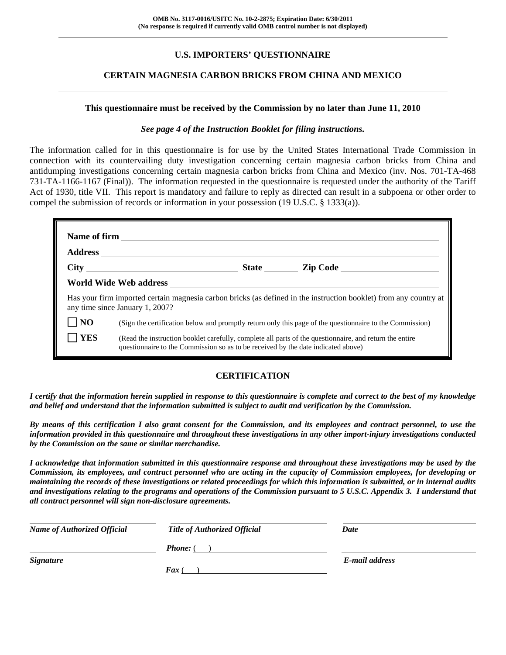## **U.S. IMPORTERS' QUESTIONNAIRE**

### **CERTAIN MAGNESIA CARBON BRICKS FROM CHINA AND MEXICO**

#### **This questionnaire must be received by the Commission by no later than June 11, 2010**

#### *See page 4 of the Instruction Booklet for filing instructions.*

The information called for in this questionnaire is for use by the United States International Trade Commission in connection with its countervailing duty investigation concerning certain magnesia carbon bricks from China and antidumping investigations concerning certain magnesia carbon bricks from China and Mexico (inv. Nos. 701-TA-468 731-TA-1166-1167 (Final)). The information requested in the questionnaire is requested under the authority of the Tariff Act of 1930, title VII. This report is mandatory and failure to reply as directed can result in a subpoena or other order to compel the submission of records or information in your possession (19 U.S.C. § 1333(a)).

|                | any time since January 1, 2007?                                                   | Has your firm imported certain magnesia carbon bricks (as defined in the instruction booklet) from any country at |
|----------------|-----------------------------------------------------------------------------------|-------------------------------------------------------------------------------------------------------------------|
| $\overline{N}$ |                                                                                   | (Sign the certification below and promptly return only this page of the questionnaire to the Commission)          |
| <b>YES</b>     | questionnaire to the Commission so as to be received by the date indicated above) | (Read the instruction booklet carefully, complete all parts of the questionnaire, and return the entire           |

#### **CERTIFICATION**

*I certify that the information herein supplied in response to this questionnaire is complete and correct to the best of my knowledge and belief and understand that the information submitted is subject to audit and verification by the Commission.* 

*By means of this certification I also grant consent for the Commission, and its employees and contract personnel, to use the information provided in this questionnaire and throughout these investigations in any other import-injury investigations conducted by the Commission on the same or similar merchandise.* 

*I acknowledge that information submitted in this questionnaire response and throughout these investigations may be used by the Commission, its employees, and contract personnel who are acting in the capacity of Commission employees, for developing or maintaining the records of these investigations or related proceedings for which this information is submitted, or in internal audits and investigations relating to the programs and operations of the Commission pursuant to 5 U.S.C. Appendix 3. I understand that all contract personnel will sign non-disclosure agreements.* 

| <b>Name of Authorized Official</b> | <b>Title of Authorized Official</b> | Date           |
|------------------------------------|-------------------------------------|----------------|
|                                    | <b>Phone:</b> (                     |                |
| <b>Signature</b>                   |                                     | E-mail address |
|                                    | <b>Fax</b>                          |                |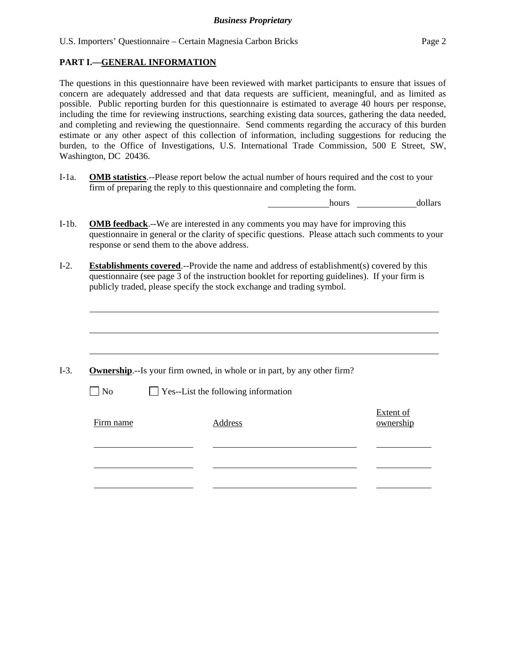U.S. Importers' Questionnaire – Certain Magnesia Carbon Bricks Page 2

#### **PART I.—GENERAL INFORMATION**

 $\overline{a}$ 

The questions in this questionnaire have been reviewed with market participants to ensure that issues of concern are adequately addressed and that data requests are sufficient, meaningful, and as limited as possible. Public reporting burden for this questionnaire is estimated to average 40 hours per response, including the time for reviewing instructions, searching existing data sources, gathering the data needed, and completing and reviewing the questionnaire. Send comments regarding the accuracy of this burden estimate or any other aspect of this collection of information, including suggestions for reducing the burden, to the Office of Investigations, U.S. International Trade Commission, 500 E Street, SW, Washington, DC 20436.

I-1a. **OMB statistics**.--Please report below the actual number of hours required and the cost to your firm of preparing the reply to this questionnaire and completing the form.

hours dollars

- I-1b. **OMB feedback**.--We are interested in any comments you may have for improving this questionnaire in general or the clarity of specific questions. Please attach such comments to your response or send them to the above address.
- I-2. **Establishments covered**.--Provide the name and address of establishment(s) covered by this questionnaire (see page 3 of the instruction booklet for reporting guidelines). If your firm is publicly traded, please specify the stock exchange and trading symbol.

|           | <b>Ownership.</b> --Is your firm owned, in whole or in part, by any other firm? |                        |
|-----------|---------------------------------------------------------------------------------|------------------------|
| $\Box$ No | $\Box$ Yes--List the following information                                      |                        |
| Firm name | Address                                                                         | Extent of<br>ownership |
|           |                                                                                 |                        |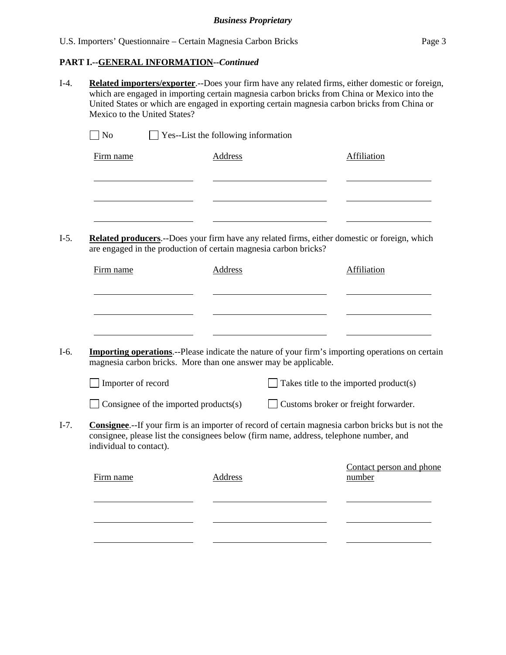#### **PART I.--GENERAL INFORMATION***--Continued*

I-4. **Related importers/exporter**.--Does your firm have any related firms, either domestic or foreign, which are engaged in importing certain magnesia carbon bricks from China or Mexico into the United States or which are engaged in exporting certain magnesia carbon bricks from China or Mexico to the United States?

| $\Box$ No | $\Box$ Yes--List the following information |             |
|-----------|--------------------------------------------|-------------|
| Firm name | Address                                    | Affiliation |
|           |                                            |             |
|           |                                            |             |
|           |                                            |             |
|           |                                            |             |

I-5. **Related producers**.--Does your firm have any related firms, either domestic or foreign, which are engaged in the production of certain magnesia carbon bricks?

| Firm name | Address | Affiliation |
|-----------|---------|-------------|
|           |         |             |
|           |         |             |
|           |         |             |

I-6. **Importing operations**.--Please indicate the nature of your firm's importing operations on certain magnesia carbon bricks. More than one answer may be applicable.

| $\Box$ Importer of record | $\Box$ Takes title to the imported product(s) |
|---------------------------|-----------------------------------------------|
|                           |                                               |

| $\Box$ Consignee of the imported products(s) | $\Box$ Customs broker or freight forwarder. |  |
|----------------------------------------------|---------------------------------------------|--|
|----------------------------------------------|---------------------------------------------|--|

I-7. **Consignee**.--If your firm is an importer of record of certain magnesia carbon bricks but is not the consignee, please list the consignees below (firm name, address, telephone number, and individual to contact).

| Firm name | Address | Contact person and phone<br>number |
|-----------|---------|------------------------------------|
|           |         |                                    |
|           |         |                                    |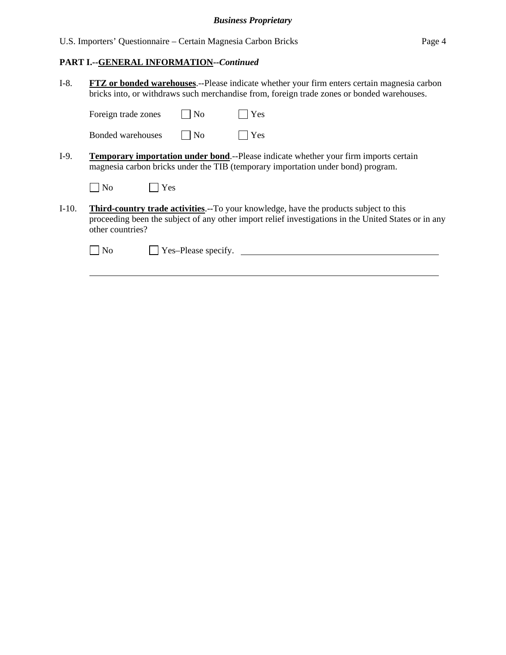U.S. Importers' Questionnaire – Certain Magnesia Carbon Bricks Page 4

## **PART I.--GENERAL INFORMATION***--Continued*

 $\overline{a}$ 

| $I-8.$  | <b>FTZ</b> or bonded warehouses.--Please indicate whether your firm enters certain magnesia carbon<br>bricks into, or withdraws such merchandise from, foreign trade zones or bonded warehouses.                          |  |  |
|---------|---------------------------------------------------------------------------------------------------------------------------------------------------------------------------------------------------------------------------|--|--|
|         | Yes<br>Foreign trade zones<br>$\overline{\rm No}$                                                                                                                                                                         |  |  |
|         | $\overline{N_0}$<br>Yes<br>Bonded warehouses                                                                                                                                                                              |  |  |
| $I-9.$  | <b>Temporary importation under bond.</b> --Please indicate whether your firm imports certain<br>magnesia carbon bricks under the TIB (temporary importation under bond) program.                                          |  |  |
|         | Yes<br>$ $ No                                                                                                                                                                                                             |  |  |
| $I-10.$ | <b>Third-country trade activities.</b> --To your knowledge, have the products subject to this<br>proceeding been the subject of any other import relief investigations in the United States or in any<br>other countries? |  |  |
|         | Yes-Please specify.<br>N <sub>o</sub>                                                                                                                                                                                     |  |  |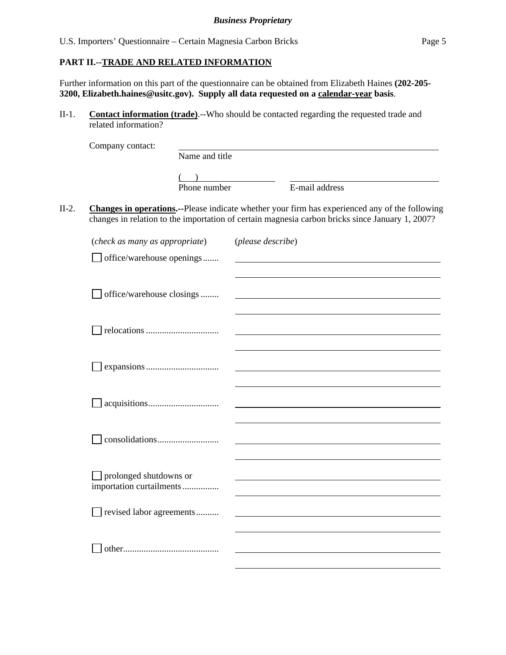#### **PART II.--TRADE AND RELATED INFORMATION**

Further information on this part of the questionnaire can be obtained from Elizabeth Haines **(202-205- 3200, Elizabeth.haines@usitc.gov). Supply all data requested on a calendar-year basis**.

II-1. **Contact information (trade)**.--Who should be contacted regarding the requested trade and related information?

|         | Company contact:                                   |                |                   |                                                                                                                                                                                                   |
|---------|----------------------------------------------------|----------------|-------------------|---------------------------------------------------------------------------------------------------------------------------------------------------------------------------------------------------|
|         |                                                    | Name and title |                   |                                                                                                                                                                                                   |
|         |                                                    | Phone number   |                   | E-mail address                                                                                                                                                                                    |
| $II-2.$ |                                                    |                |                   | Changes in operations.--Please indicate whether your firm has experienced any of the following<br>changes in relation to the importation of certain magnesia carbon bricks since January 1, 2007? |
|         | (check as many as appropriate)                     |                | (please describe) |                                                                                                                                                                                                   |
|         | $\Box$ office/warehouse openings                   |                |                   |                                                                                                                                                                                                   |
|         | office/warehouse closings                          |                |                   |                                                                                                                                                                                                   |
|         |                                                    |                |                   |                                                                                                                                                                                                   |
|         |                                                    |                |                   |                                                                                                                                                                                                   |
|         |                                                    |                |                   |                                                                                                                                                                                                   |
|         |                                                    |                |                   |                                                                                                                                                                                                   |
|         | prolonged shutdowns or<br>importation curtailments |                |                   |                                                                                                                                                                                                   |
|         | revised labor agreements                           |                |                   |                                                                                                                                                                                                   |
|         |                                                    |                |                   |                                                                                                                                                                                                   |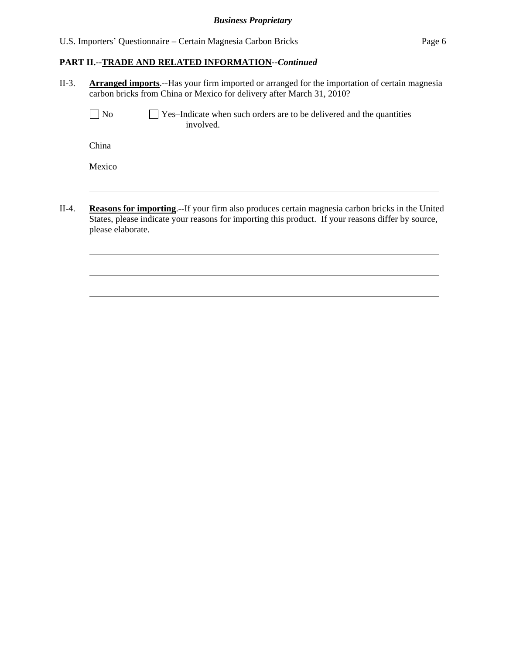l

 $\overline{a}$ 

 $\overline{a}$ 

## **PART II.--TRADE AND RELATED INFORMATION***--Continued*

| $II-3.$ | <b>Arranged imports.</b> --Has your firm imported or arranged for the importation of certain magnesia<br>carbon bricks from China or Mexico for delivery after March 31, 2010?                                                    |  |  |  |
|---------|-----------------------------------------------------------------------------------------------------------------------------------------------------------------------------------------------------------------------------------|--|--|--|
|         | $\overline{N}$<br>$\Box$ Yes-Indicate when such orders are to be delivered and the quantities<br>involved.                                                                                                                        |  |  |  |
|         | China                                                                                                                                                                                                                             |  |  |  |
|         | Mexico                                                                                                                                                                                                                            |  |  |  |
|         |                                                                                                                                                                                                                                   |  |  |  |
| $II-4.$ | <b>Reasons for importing.</b> -If your firm also produces certain magnesia carbon bricks in the United<br>States, please indicate your reasons for importing this product. If your reasons differ by source,<br>please elaborate. |  |  |  |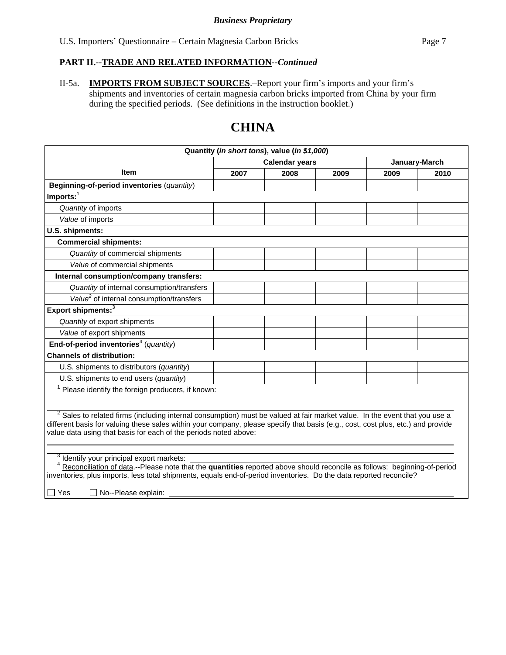II-5a. **IMPORTS FROM SUBJECT SOURCES**.–Report your firm's imports and your firm's shipments and inventories of certain magnesia carbon bricks imported from China by your firm during the specified periods. (See definitions in the instruction booklet.)

# **CHINA**

| Quantity (in short tons), value (in \$1,000)                                                                                                                                                                                                                                                                                                  |      |                       |      |               |      |  |
|-----------------------------------------------------------------------------------------------------------------------------------------------------------------------------------------------------------------------------------------------------------------------------------------------------------------------------------------------|------|-----------------------|------|---------------|------|--|
|                                                                                                                                                                                                                                                                                                                                               |      | <b>Calendar years</b> |      | January-March |      |  |
| <b>Item</b>                                                                                                                                                                                                                                                                                                                                   | 2007 | 2008                  | 2009 | 2009          | 2010 |  |
| Beginning-of-period inventories (quantity)                                                                                                                                                                                                                                                                                                    |      |                       |      |               |      |  |
| Imports: $1$                                                                                                                                                                                                                                                                                                                                  |      |                       |      |               |      |  |
| Quantity of imports                                                                                                                                                                                                                                                                                                                           |      |                       |      |               |      |  |
| Value of imports                                                                                                                                                                                                                                                                                                                              |      |                       |      |               |      |  |
| U.S. shipments:                                                                                                                                                                                                                                                                                                                               |      |                       |      |               |      |  |
| <b>Commercial shipments:</b>                                                                                                                                                                                                                                                                                                                  |      |                       |      |               |      |  |
| Quantity of commercial shipments                                                                                                                                                                                                                                                                                                              |      |                       |      |               |      |  |
| Value of commercial shipments                                                                                                                                                                                                                                                                                                                 |      |                       |      |               |      |  |
| Internal consumption/company transfers:                                                                                                                                                                                                                                                                                                       |      |                       |      |               |      |  |
| Quantity of internal consumption/transfers                                                                                                                                                                                                                                                                                                    |      |                       |      |               |      |  |
| Value <sup>2</sup> of internal consumption/transfers                                                                                                                                                                                                                                                                                          |      |                       |      |               |      |  |
| Export shipments: <sup>3</sup>                                                                                                                                                                                                                                                                                                                |      |                       |      |               |      |  |
| Quantity of export shipments                                                                                                                                                                                                                                                                                                                  |      |                       |      |               |      |  |
| Value of export shipments                                                                                                                                                                                                                                                                                                                     |      |                       |      |               |      |  |
| End-of-period inventories <sup>4</sup> (quantity)                                                                                                                                                                                                                                                                                             |      |                       |      |               |      |  |
| <b>Channels of distribution:</b>                                                                                                                                                                                                                                                                                                              |      |                       |      |               |      |  |
| U.S. shipments to distributors (quantity)                                                                                                                                                                                                                                                                                                     |      |                       |      |               |      |  |
| U.S. shipments to end users (quantity)                                                                                                                                                                                                                                                                                                        |      |                       |      |               |      |  |
| Please identify the foreign producers, if known:                                                                                                                                                                                                                                                                                              |      |                       |      |               |      |  |
|                                                                                                                                                                                                                                                                                                                                               |      |                       |      |               |      |  |
| <sup>2</sup> Sales to related firms (including internal consumption) must be valued at fair market value. In the event that you use a<br>different basis for valuing these sales within your company, please specify that basis (e.g., cost, cost plus, etc.) and provide<br>value data using that basis for each of the periods noted above: |      |                       |      |               |      |  |
| Identify your principal export markets:<br>Reconciliation of data .-- Please note that the quantities reported above should reconcile as follows: beginning-of-period<br>inventories, plus imports, less total shipments, equals end-of-period inventories. Do the data reported reconcile?<br>$\Box$ Yes<br>No--Please explain:              |      |                       |      |               |      |  |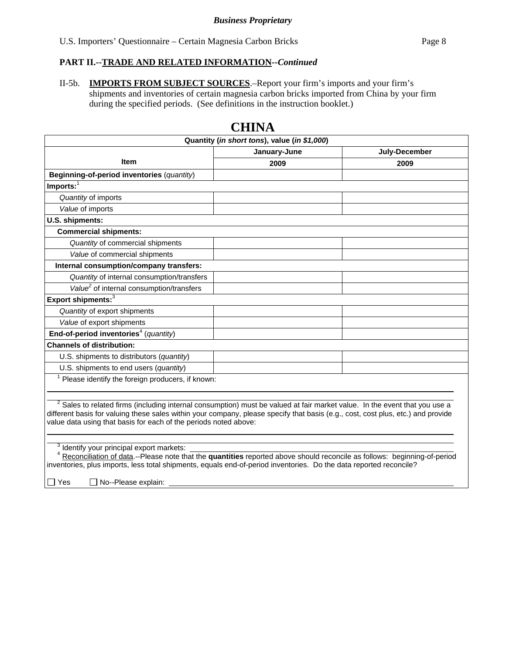II-5b. **IMPORTS FROM SUBJECT SOURCES**.–Report your firm's imports and your firm's shipments and inventories of certain magnesia carbon bricks imported from China by your firm during the specified periods. (See definitions in the instruction booklet.)

| Quantity (in short tons), value (in \$1,000)                                                                                                                                                                                                                                                                                     |      |      |  |  |  |  |  |  |
|----------------------------------------------------------------------------------------------------------------------------------------------------------------------------------------------------------------------------------------------------------------------------------------------------------------------------------|------|------|--|--|--|--|--|--|
| January-June<br>July-December                                                                                                                                                                                                                                                                                                    |      |      |  |  |  |  |  |  |
| <b>Item</b>                                                                                                                                                                                                                                                                                                                      | 2009 | 2009 |  |  |  |  |  |  |
|                                                                                                                                                                                                                                                                                                                                  |      |      |  |  |  |  |  |  |
| Beginning-of-period inventories (quantity)                                                                                                                                                                                                                                                                                       |      |      |  |  |  |  |  |  |
| $Imports:$ <sup>1</sup>                                                                                                                                                                                                                                                                                                          |      |      |  |  |  |  |  |  |
| Quantity of imports                                                                                                                                                                                                                                                                                                              |      |      |  |  |  |  |  |  |
| Value of imports                                                                                                                                                                                                                                                                                                                 |      |      |  |  |  |  |  |  |
| U.S. shipments:                                                                                                                                                                                                                                                                                                                  |      |      |  |  |  |  |  |  |
| <b>Commercial shipments:</b>                                                                                                                                                                                                                                                                                                     |      |      |  |  |  |  |  |  |
| Quantity of commercial shipments                                                                                                                                                                                                                                                                                                 |      |      |  |  |  |  |  |  |
| Value of commercial shipments                                                                                                                                                                                                                                                                                                    |      |      |  |  |  |  |  |  |
| Internal consumption/company transfers:                                                                                                                                                                                                                                                                                          |      |      |  |  |  |  |  |  |
| Quantity of internal consumption/transfers                                                                                                                                                                                                                                                                                       |      |      |  |  |  |  |  |  |
| Value <sup>2</sup> of internal consumption/transfers                                                                                                                                                                                                                                                                             |      |      |  |  |  |  |  |  |
| Export shipments: <sup>3</sup>                                                                                                                                                                                                                                                                                                   |      |      |  |  |  |  |  |  |
| Quantity of export shipments                                                                                                                                                                                                                                                                                                     |      |      |  |  |  |  |  |  |
| Value of export shipments                                                                                                                                                                                                                                                                                                        |      |      |  |  |  |  |  |  |
| End-of-period inventories <sup>4</sup> (quantity)                                                                                                                                                                                                                                                                                |      |      |  |  |  |  |  |  |
| <b>Channels of distribution:</b>                                                                                                                                                                                                                                                                                                 |      |      |  |  |  |  |  |  |
| U.S. shipments to distributors (quantity)                                                                                                                                                                                                                                                                                        |      |      |  |  |  |  |  |  |
| U.S. shipments to end users (quantity)                                                                                                                                                                                                                                                                                           |      |      |  |  |  |  |  |  |
| $1$ Please identify the foreign producers, if known:                                                                                                                                                                                                                                                                             |      |      |  |  |  |  |  |  |
|                                                                                                                                                                                                                                                                                                                                  |      |      |  |  |  |  |  |  |
| Sales to related firms (including internal consumption) must be valued at fair market value. In the event that you use a<br>different basis for valuing these sales within your company, please specify that basis (e.g., cost, cost plus, etc.) and provide<br>value data using that basis for each of the periods noted above: |      |      |  |  |  |  |  |  |
| Identify your principal export markets:<br>Reconciliation of data .--Please note that the quantities reported above should reconcile as follows: beginning-of-period<br>inventories, plus imports, less total shipments, equals end-of-period inventories. Do the data reported reconcile?                                       |      |      |  |  |  |  |  |  |

## **CHINA**

□ Yes □ No--Please explain: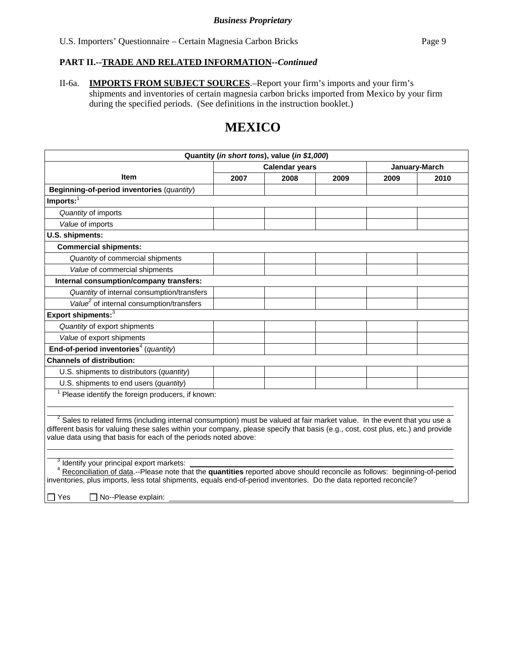II-6a. **IMPORTS FROM SUBJECT SOURCES**.–Report your firm's imports and your firm's shipments and inventories of certain magnesia carbon bricks imported from Mexico by your firm during the specified periods. (See definitions in the instruction booklet.)

# **MEXICO**

| Quantity (in short tons), value (in \$1,000)                                                                                                                                                                                                                                                                                         |                                        |      |      |      |      |  |
|--------------------------------------------------------------------------------------------------------------------------------------------------------------------------------------------------------------------------------------------------------------------------------------------------------------------------------------|----------------------------------------|------|------|------|------|--|
|                                                                                                                                                                                                                                                                                                                                      | <b>Calendar years</b><br>January-March |      |      |      |      |  |
| <b>Item</b>                                                                                                                                                                                                                                                                                                                          | 2007                                   | 2008 | 2009 | 2009 | 2010 |  |
| Beginning-of-period inventories (quantity)                                                                                                                                                                                                                                                                                           |                                        |      |      |      |      |  |
| Imports: $1$                                                                                                                                                                                                                                                                                                                         |                                        |      |      |      |      |  |
| Quantity of imports                                                                                                                                                                                                                                                                                                                  |                                        |      |      |      |      |  |
| Value of imports                                                                                                                                                                                                                                                                                                                     |                                        |      |      |      |      |  |
| U.S. shipments:                                                                                                                                                                                                                                                                                                                      |                                        |      |      |      |      |  |
| <b>Commercial shipments:</b>                                                                                                                                                                                                                                                                                                         |                                        |      |      |      |      |  |
| Quantity of commercial shipments                                                                                                                                                                                                                                                                                                     |                                        |      |      |      |      |  |
| Value of commercial shipments                                                                                                                                                                                                                                                                                                        |                                        |      |      |      |      |  |
| Internal consumption/company transfers:                                                                                                                                                                                                                                                                                              |                                        |      |      |      |      |  |
| Quantity of internal consumption/transfers                                                                                                                                                                                                                                                                                           |                                        |      |      |      |      |  |
| Value <sup>2</sup> of internal consumption/transfers                                                                                                                                                                                                                                                                                 |                                        |      |      |      |      |  |
| Export shipments: <sup>3</sup>                                                                                                                                                                                                                                                                                                       |                                        |      |      |      |      |  |
| Quantity of export shipments                                                                                                                                                                                                                                                                                                         |                                        |      |      |      |      |  |
| Value of export shipments                                                                                                                                                                                                                                                                                                            |                                        |      |      |      |      |  |
| End-of-period inventories <sup>4</sup> (quantity)                                                                                                                                                                                                                                                                                    |                                        |      |      |      |      |  |
| <b>Channels of distribution:</b>                                                                                                                                                                                                                                                                                                     |                                        |      |      |      |      |  |
| U.S. shipments to distributors (quantity)                                                                                                                                                                                                                                                                                            |                                        |      |      |      |      |  |
| U.S. shipments to end users (quantity)                                                                                                                                                                                                                                                                                               |                                        |      |      |      |      |  |
| Please identify the foreign producers, if known:                                                                                                                                                                                                                                                                                     |                                        |      |      |      |      |  |
|                                                                                                                                                                                                                                                                                                                                      |                                        |      |      |      |      |  |
| $2$ Sales to related firms (including internal consumption) must be valued at fair market value. In the event that you use a<br>different basis for valuing these sales within your company, please specify that basis (e.g., cost, cost plus, etc.) and provide<br>value data using that basis for each of the periods noted above: |                                        |      |      |      |      |  |
| Identify your principal export markets:<br>Reconciliation of data.--Please note that the quantities reported above should reconcile as follows: beginning-of-period<br>inventories, plus imports, less total shipments, equals end-of-period inventories. Do the data reported reconcile?                                            |                                        |      |      |      |      |  |
| □ No--Please explain:<br>□ Yes                                                                                                                                                                                                                                                                                                       |                                        |      |      |      |      |  |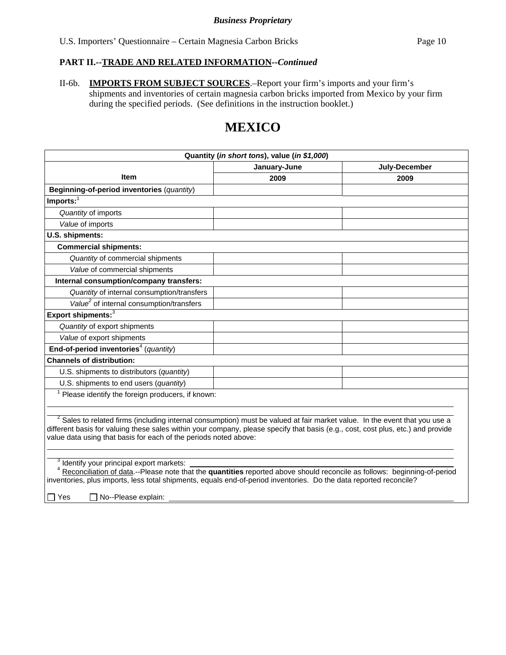II-6b. **IMPORTS FROM SUBJECT SOURCES**.–Report your firm's imports and your firm's shipments and inventories of certain magnesia carbon bricks imported from Mexico by your firm during the specified periods. (See definitions in the instruction booklet.)

# **MEXICO**

| Quantity (in short tons), value (in \$1,000)                                                                                                                                                                                                                                                                                         |              |               |  |  |  |  |
|--------------------------------------------------------------------------------------------------------------------------------------------------------------------------------------------------------------------------------------------------------------------------------------------------------------------------------------|--------------|---------------|--|--|--|--|
|                                                                                                                                                                                                                                                                                                                                      | January-June | July-December |  |  |  |  |
| Item                                                                                                                                                                                                                                                                                                                                 | 2009         | 2009          |  |  |  |  |
| Beginning-of-period inventories (quantity)                                                                                                                                                                                                                                                                                           |              |               |  |  |  |  |
| $Imports:$ <sup>1</sup>                                                                                                                                                                                                                                                                                                              |              |               |  |  |  |  |
| Quantity of imports                                                                                                                                                                                                                                                                                                                  |              |               |  |  |  |  |
| Value of imports                                                                                                                                                                                                                                                                                                                     |              |               |  |  |  |  |
| U.S. shipments:                                                                                                                                                                                                                                                                                                                      |              |               |  |  |  |  |
| <b>Commercial shipments:</b>                                                                                                                                                                                                                                                                                                         |              |               |  |  |  |  |
| Quantity of commercial shipments                                                                                                                                                                                                                                                                                                     |              |               |  |  |  |  |
| Value of commercial shipments                                                                                                                                                                                                                                                                                                        |              |               |  |  |  |  |
| Internal consumption/company transfers:                                                                                                                                                                                                                                                                                              |              |               |  |  |  |  |
| Quantity of internal consumption/transfers                                                                                                                                                                                                                                                                                           |              |               |  |  |  |  |
| Value <sup>2</sup> of internal consumption/transfers                                                                                                                                                                                                                                                                                 |              |               |  |  |  |  |
| Export shipments: <sup>3</sup>                                                                                                                                                                                                                                                                                                       |              |               |  |  |  |  |
| Quantity of export shipments                                                                                                                                                                                                                                                                                                         |              |               |  |  |  |  |
| Value of export shipments                                                                                                                                                                                                                                                                                                            |              |               |  |  |  |  |
| End-of-period inventories <sup>4</sup> (quantity)                                                                                                                                                                                                                                                                                    |              |               |  |  |  |  |
| <b>Channels of distribution:</b>                                                                                                                                                                                                                                                                                                     |              |               |  |  |  |  |
| U.S. shipments to distributors (quantity)                                                                                                                                                                                                                                                                                            |              |               |  |  |  |  |
| U.S. shipments to end users (quantity)                                                                                                                                                                                                                                                                                               |              |               |  |  |  |  |
| Please identify the foreign producers, if known:                                                                                                                                                                                                                                                                                     |              |               |  |  |  |  |
|                                                                                                                                                                                                                                                                                                                                      |              |               |  |  |  |  |
| $2$ Sales to related firms (including internal consumption) must be valued at fair market value. In the event that you use a<br>different basis for valuing these sales within your company, please specify that basis (e.g., cost, cost plus, etc.) and provide<br>value data using that basis for each of the periods noted above: |              |               |  |  |  |  |
| Identify your principal export markets:<br>Reconciliation of data.--Please note that the quantities reported above should reconcile as follows: beginning-of-period<br>inventories, plus imports, less total shipments, equals end-of-period inventories. Do the data reported reconcile?                                            |              |               |  |  |  |  |
| □ No--Please explain:<br>□ Yes                                                                                                                                                                                                                                                                                                       |              |               |  |  |  |  |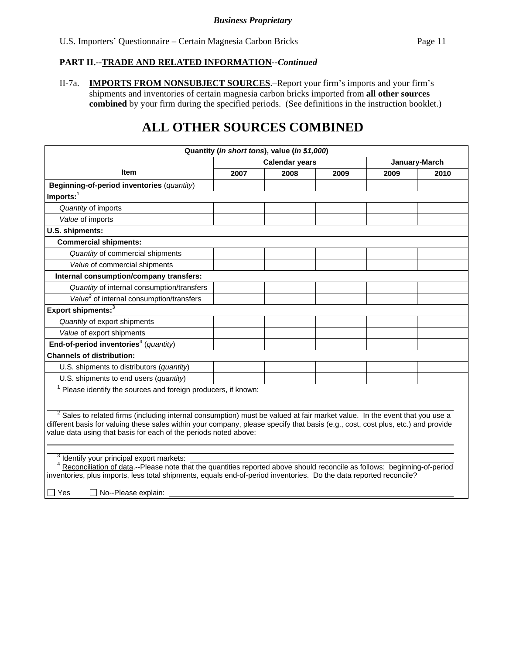II-7a. **IMPORTS FROM NONSUBJECT SOURCES**.–Report your firm's imports and your firm's shipments and inventories of certain magnesia carbon bricks imported from **all other sources combined** by your firm during the specified periods. (See definitions in the instruction booklet.)

# **ALL OTHER SOURCES COMBINED**

| Quantity (in short tons), value (in \$1,000)                                                                                                                                                                                                                                                                                         |      |                       |      |      |               |  |
|--------------------------------------------------------------------------------------------------------------------------------------------------------------------------------------------------------------------------------------------------------------------------------------------------------------------------------------|------|-----------------------|------|------|---------------|--|
|                                                                                                                                                                                                                                                                                                                                      |      | <b>Calendar years</b> |      |      | January-March |  |
| Item                                                                                                                                                                                                                                                                                                                                 | 2007 | 2008                  | 2009 | 2009 | 2010          |  |
| Beginning-of-period inventories (quantity)                                                                                                                                                                                                                                                                                           |      |                       |      |      |               |  |
| $Imports:$ <sup>1</sup>                                                                                                                                                                                                                                                                                                              |      |                       |      |      |               |  |
| Quantity of imports                                                                                                                                                                                                                                                                                                                  |      |                       |      |      |               |  |
| Value of imports                                                                                                                                                                                                                                                                                                                     |      |                       |      |      |               |  |
| U.S. shipments:                                                                                                                                                                                                                                                                                                                      |      |                       |      |      |               |  |
| <b>Commercial shipments:</b>                                                                                                                                                                                                                                                                                                         |      |                       |      |      |               |  |
| Quantity of commercial shipments                                                                                                                                                                                                                                                                                                     |      |                       |      |      |               |  |
| Value of commercial shipments                                                                                                                                                                                                                                                                                                        |      |                       |      |      |               |  |
| Internal consumption/company transfers:                                                                                                                                                                                                                                                                                              |      |                       |      |      |               |  |
| Quantity of internal consumption/transfers                                                                                                                                                                                                                                                                                           |      |                       |      |      |               |  |
| Value <sup>2</sup> of internal consumption/transfers                                                                                                                                                                                                                                                                                 |      |                       |      |      |               |  |
| Export shipments: <sup>3</sup>                                                                                                                                                                                                                                                                                                       |      |                       |      |      |               |  |
| Quantity of export shipments                                                                                                                                                                                                                                                                                                         |      |                       |      |      |               |  |
| Value of export shipments                                                                                                                                                                                                                                                                                                            |      |                       |      |      |               |  |
| End-of-period inventories <sup>4</sup> (quantity)                                                                                                                                                                                                                                                                                    |      |                       |      |      |               |  |
| <b>Channels of distribution:</b>                                                                                                                                                                                                                                                                                                     |      |                       |      |      |               |  |
| U.S. shipments to distributors (quantity)                                                                                                                                                                                                                                                                                            |      |                       |      |      |               |  |
| U.S. shipments to end users (quantity)                                                                                                                                                                                                                                                                                               |      |                       |      |      |               |  |
| Please identify the sources and foreign producers, if known:                                                                                                                                                                                                                                                                         |      |                       |      |      |               |  |
|                                                                                                                                                                                                                                                                                                                                      |      |                       |      |      |               |  |
| $2$ Sales to related firms (including internal consumption) must be valued at fair market value. In the event that you use a<br>different basis for valuing these sales within your company, please specify that basis (e.g., cost, cost plus, etc.) and provide<br>value data using that basis for each of the periods noted above: |      |                       |      |      |               |  |
|                                                                                                                                                                                                                                                                                                                                      |      |                       |      |      |               |  |
| <sup>3</sup> Identify your principal export markets:<br>Reconciliation of data.--Please note that the quantities reported above should reconcile as follows: beginning-of-period<br>inventories, plus imports, less total shipments, equals end-of-period inventories. Do the data reported reconcile?                               |      |                       |      |      |               |  |
| $\Box$ $V_{\text{max}}$ $\Box$ $N_{\text{max}}$ $\Box$ $N_{\text{max}}$ $\Box$ $\Box$                                                                                                                                                                                                                                                |      |                       |      |      |               |  |

∐ Yes No--Please explain: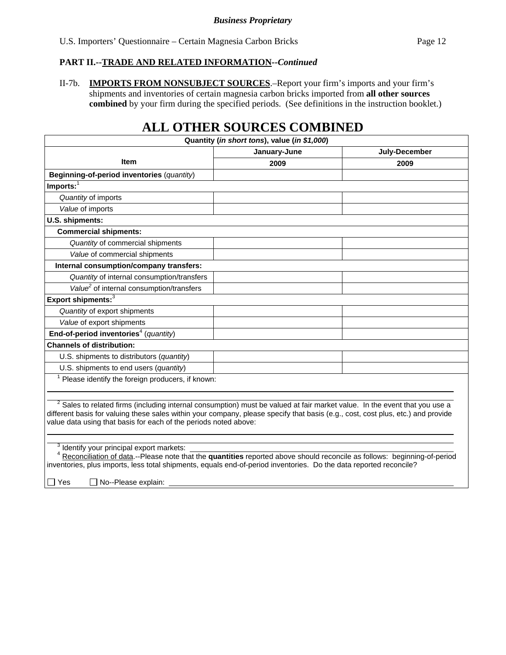II-7b. **IMPORTS FROM NONSUBJECT SOURCES**.–Report your firm's imports and your firm's shipments and inventories of certain magnesia carbon bricks imported from **all other sources combined** by your firm during the specified periods. (See definitions in the instruction booklet.)

# **ALL OTHER SOURCES COMBINED**

| Quantity (in short tons), value (in \$1,000)                                                                                                                                                                                                                                                                                         |              |               |  |  |  |  |
|--------------------------------------------------------------------------------------------------------------------------------------------------------------------------------------------------------------------------------------------------------------------------------------------------------------------------------------|--------------|---------------|--|--|--|--|
|                                                                                                                                                                                                                                                                                                                                      | January-June | July-December |  |  |  |  |
| <b>Item</b>                                                                                                                                                                                                                                                                                                                          | 2009         | 2009          |  |  |  |  |
| Beginning-of-period inventories (quantity)                                                                                                                                                                                                                                                                                           |              |               |  |  |  |  |
| Imports: $\overline{1}$                                                                                                                                                                                                                                                                                                              |              |               |  |  |  |  |
| Quantity of imports                                                                                                                                                                                                                                                                                                                  |              |               |  |  |  |  |
| Value of imports                                                                                                                                                                                                                                                                                                                     |              |               |  |  |  |  |
| U.S. shipments:                                                                                                                                                                                                                                                                                                                      |              |               |  |  |  |  |
| <b>Commercial shipments:</b>                                                                                                                                                                                                                                                                                                         |              |               |  |  |  |  |
| Quantity of commercial shipments                                                                                                                                                                                                                                                                                                     |              |               |  |  |  |  |
| Value of commercial shipments                                                                                                                                                                                                                                                                                                        |              |               |  |  |  |  |
| Internal consumption/company transfers:                                                                                                                                                                                                                                                                                              |              |               |  |  |  |  |
| Quantity of internal consumption/transfers                                                                                                                                                                                                                                                                                           |              |               |  |  |  |  |
| Value <sup>2</sup> of internal consumption/transfers                                                                                                                                                                                                                                                                                 |              |               |  |  |  |  |
| Export shipments:3                                                                                                                                                                                                                                                                                                                   |              |               |  |  |  |  |
| Quantity of export shipments                                                                                                                                                                                                                                                                                                         |              |               |  |  |  |  |
| Value of export shipments                                                                                                                                                                                                                                                                                                            |              |               |  |  |  |  |
| End-of-period inventories <sup>4</sup> (quantity)                                                                                                                                                                                                                                                                                    |              |               |  |  |  |  |
| <b>Channels of distribution:</b>                                                                                                                                                                                                                                                                                                     |              |               |  |  |  |  |
| U.S. shipments to distributors (quantity)                                                                                                                                                                                                                                                                                            |              |               |  |  |  |  |
| U.S. shipments to end users (quantity)                                                                                                                                                                                                                                                                                               |              |               |  |  |  |  |
| Please identify the foreign producers, if known:                                                                                                                                                                                                                                                                                     |              |               |  |  |  |  |
| $2$ Sales to related firms (including internal consumption) must be valued at fair market value. In the event that you use a<br>different basis for valuing these sales within your company, please specify that basis (e.g., cost, cost plus, etc.) and provide<br>value data using that basis for each of the periods noted above: |              |               |  |  |  |  |
| Identify your principal export markets:                                                                                                                                                                                                                                                                                              |              |               |  |  |  |  |
| Reconciliation of data.--Please note that the quantities reported above should reconcile as follows: beginning-of-period<br>inventories, plus imports, less total shipments, equals end-of-period inventories. Do the data reported reconcile?                                                                                       |              |               |  |  |  |  |
| $\blacksquare$ $\blacksquare$ .<br>$\sim$ $\sim$                                                                                                                                                                                                                                                                                     |              |               |  |  |  |  |

 $\Box$  Yes  $\Box$  No--Please explain: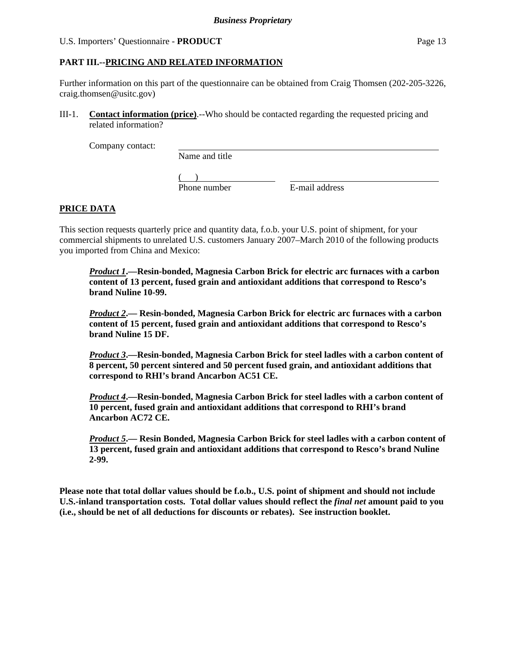### U.S. Importers' Questionnaire - **PRODUCT** Page 13

### **PART III.--PRICING AND RELATED INFORMATION**

Further information on this part of the questionnaire can be obtained from Craig Thomsen (202-205-3226, craig.thomsen@usitc.gov)

III-1. **Contact information (price)**.--Who should be contacted regarding the requested pricing and related information?

Company contact:

Name and title

 $($ Phone number E-mail address

## **PRICE DATA**

This section requests quarterly price and quantity data, f.o.b. your U.S. point of shipment, for your commercial shipments to unrelated U.S. customers January 2007–March 2010 of the following products you imported from China and Mexico:

*Product 1***.—Resin-bonded, Magnesia Carbon Brick for electric arc furnaces with a carbon content of 13 percent, fused grain and antioxidant additions that correspond to Resco's brand Nuline 10-99.** 

*Product 2***.— Resin-bonded, Magnesia Carbon Brick for electric arc furnaces with a carbon content of 15 percent, fused grain and antioxidant additions that correspond to Resco's brand Nuline 15 DF.** 

*Product 3***.—Resin-bonded, Magnesia Carbon Brick for steel ladles with a carbon content of 8 percent, 50 percent sintered and 50 percent fused grain, and antioxidant additions that correspond to RHI's brand Ancarbon AC51 CE.** 

*Product 4***.—Resin-bonded, Magnesia Carbon Brick for steel ladles with a carbon content of 10 percent, fused grain and antioxidant additions that correspond to RHI's brand Ancarbon AC72 CE.** 

*Product 5***.— Resin Bonded, Magnesia Carbon Brick for steel ladles with a carbon content of 13 percent, fused grain and antioxidant additions that correspond to Resco's brand Nuline 2-99.** 

**Please note that total dollar values should be f.o.b., U.S. point of shipment and should not include U.S.-inland transportation costs. Total dollar values should reflect the** *final net* **amount paid to you (i.e., should be net of all deductions for discounts or rebates). See instruction booklet.**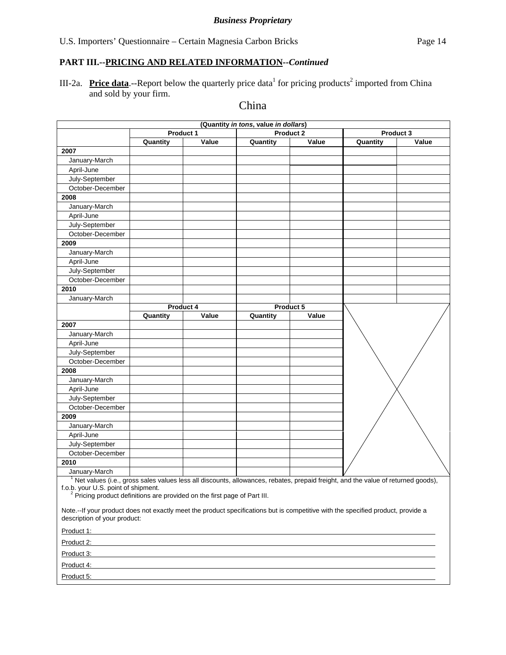## **PART III.--PRICING AND RELATED INFORMATION***--Continued*

III-2a. Price data.--Report below the quarterly price data<sup>1</sup> for pricing products<sup>2</sup> imported from China and sold by your firm.

## China

|                                                                                                                                                                                                      | (Quantity in tons, value in dollars) |           |          |           |           |       |  |  |
|------------------------------------------------------------------------------------------------------------------------------------------------------------------------------------------------------|--------------------------------------|-----------|----------|-----------|-----------|-------|--|--|
|                                                                                                                                                                                                      | Product 2<br>Product 1               |           |          |           | Product 3 |       |  |  |
|                                                                                                                                                                                                      | Quantity                             | Value     | Quantity | Value     | Quantity  | Value |  |  |
| 2007                                                                                                                                                                                                 |                                      |           |          |           |           |       |  |  |
| January-March                                                                                                                                                                                        |                                      |           |          |           |           |       |  |  |
| April-June                                                                                                                                                                                           |                                      |           |          |           |           |       |  |  |
| July-September                                                                                                                                                                                       |                                      |           |          |           |           |       |  |  |
| October-December                                                                                                                                                                                     |                                      |           |          |           |           |       |  |  |
| 2008                                                                                                                                                                                                 |                                      |           |          |           |           |       |  |  |
| January-March                                                                                                                                                                                        |                                      |           |          |           |           |       |  |  |
| April-June                                                                                                                                                                                           |                                      |           |          |           |           |       |  |  |
| July-September                                                                                                                                                                                       |                                      |           |          |           |           |       |  |  |
| October-December                                                                                                                                                                                     |                                      |           |          |           |           |       |  |  |
| 2009                                                                                                                                                                                                 |                                      |           |          |           |           |       |  |  |
| January-March                                                                                                                                                                                        |                                      |           |          |           |           |       |  |  |
| April-June                                                                                                                                                                                           |                                      |           |          |           |           |       |  |  |
| July-September                                                                                                                                                                                       |                                      |           |          |           |           |       |  |  |
| October-December                                                                                                                                                                                     |                                      |           |          |           |           |       |  |  |
| 2010                                                                                                                                                                                                 |                                      |           |          |           |           |       |  |  |
| January-March                                                                                                                                                                                        |                                      |           |          |           |           |       |  |  |
|                                                                                                                                                                                                      |                                      | Product 4 |          | Product 5 |           |       |  |  |
|                                                                                                                                                                                                      | Quantity                             | Value     | Quantity | Value     |           |       |  |  |
| 2007                                                                                                                                                                                                 |                                      |           |          |           |           |       |  |  |
| January-March                                                                                                                                                                                        |                                      |           |          |           |           |       |  |  |
| April-June                                                                                                                                                                                           |                                      |           |          |           |           |       |  |  |
| July-September                                                                                                                                                                                       |                                      |           |          |           |           |       |  |  |
| October-December                                                                                                                                                                                     |                                      |           |          |           |           |       |  |  |
| 2008                                                                                                                                                                                                 |                                      |           |          |           |           |       |  |  |
| January-March                                                                                                                                                                                        |                                      |           |          |           |           |       |  |  |
| April-June                                                                                                                                                                                           |                                      |           |          |           |           |       |  |  |
| July-September                                                                                                                                                                                       |                                      |           |          |           |           |       |  |  |
| October-December                                                                                                                                                                                     |                                      |           |          |           |           |       |  |  |
| 2009<br>January-March                                                                                                                                                                                |                                      |           |          |           |           |       |  |  |
|                                                                                                                                                                                                      |                                      |           |          |           |           |       |  |  |
| April-June                                                                                                                                                                                           |                                      |           |          |           |           |       |  |  |
| July-September<br>October-December                                                                                                                                                                   |                                      |           |          |           |           |       |  |  |
| 2010                                                                                                                                                                                                 |                                      |           |          |           |           |       |  |  |
| January-March                                                                                                                                                                                        |                                      |           |          |           |           |       |  |  |
| <sup>1</sup> Net values (i.e., gross sales values less all discounts, allowances, rebates, prepaid freight, and the value of returned goods),                                                        |                                      |           |          |           |           |       |  |  |
| f.o.b. your U.S. point of shipment.<br><sup>2</sup> Pricing product definitions are provided on the first page of Part III.                                                                          |                                      |           |          |           |           |       |  |  |
| Note.--If your product does not exactly meet the product specifications but is competitive with the specified product, provide a<br>description of your product:                                     |                                      |           |          |           |           |       |  |  |
| Product 1: Product 1:                                                                                                                                                                                |                                      |           |          |           |           |       |  |  |
| Product 2: <b>Product 2: Product 2: Product 2: Product 2: Product 2: Product 2: Product 2: Product 2: Product 2: Product 2: Product 2: Product 2: Product 2: Product 2: Product 2: Product 2: Pr</b> |                                      |           |          |           |           |       |  |  |
| Product 3:                                                                                                                                                                                           |                                      |           |          |           |           |       |  |  |
| Product 4:                                                                                                                                                                                           |                                      |           |          |           |           |       |  |  |
| Product 5:                                                                                                                                                                                           |                                      |           |          |           |           |       |  |  |
|                                                                                                                                                                                                      |                                      |           |          |           |           |       |  |  |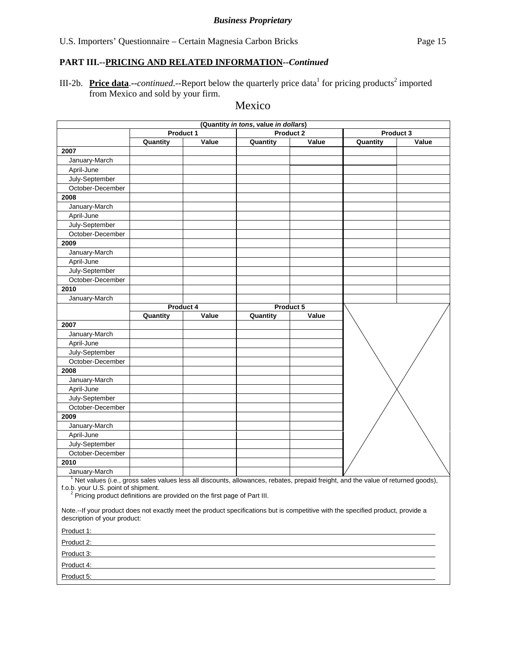## **PART III.--PRICING AND RELATED INFORMATION***--Continued*

III-2b. Price data.--*continued*.--Report below the quarterly price data<sup>1</sup> for pricing products<sup>2</sup> imported from Mexico and sold by your firm.

## Mexico

| (Quantity in tons, value in dollars)                                                                                                                             |                        |           |          |           |           |       |
|------------------------------------------------------------------------------------------------------------------------------------------------------------------|------------------------|-----------|----------|-----------|-----------|-------|
|                                                                                                                                                                  | Product 2<br>Product 1 |           |          |           | Product 3 |       |
|                                                                                                                                                                  | Quantity               | Value     | Quantity | Value     | Quantity  | Value |
| 2007                                                                                                                                                             |                        |           |          |           |           |       |
| January-March                                                                                                                                                    |                        |           |          |           |           |       |
| April-June                                                                                                                                                       |                        |           |          |           |           |       |
| July-September                                                                                                                                                   |                        |           |          |           |           |       |
| October-December                                                                                                                                                 |                        |           |          |           |           |       |
| 2008                                                                                                                                                             |                        |           |          |           |           |       |
| January-March                                                                                                                                                    |                        |           |          |           |           |       |
| April-June                                                                                                                                                       |                        |           |          |           |           |       |
| July-September                                                                                                                                                   |                        |           |          |           |           |       |
| October-December                                                                                                                                                 |                        |           |          |           |           |       |
| 2009                                                                                                                                                             |                        |           |          |           |           |       |
| January-March                                                                                                                                                    |                        |           |          |           |           |       |
| April-June                                                                                                                                                       |                        |           |          |           |           |       |
| July-September                                                                                                                                                   |                        |           |          |           |           |       |
| October-December                                                                                                                                                 |                        |           |          |           |           |       |
| 2010                                                                                                                                                             |                        |           |          |           |           |       |
| January-March                                                                                                                                                    |                        |           |          |           |           |       |
|                                                                                                                                                                  |                        | Product 4 |          | Product 5 |           |       |
|                                                                                                                                                                  | Quantity               | Value     | Quantity | Value     |           |       |
| 2007                                                                                                                                                             |                        |           |          |           |           |       |
| January-March                                                                                                                                                    |                        |           |          |           |           |       |
| April-June                                                                                                                                                       |                        |           |          |           |           |       |
| July-September                                                                                                                                                   |                        |           |          |           |           |       |
| October-December                                                                                                                                                 |                        |           |          |           |           |       |
| 2008                                                                                                                                                             |                        |           |          |           |           |       |
| January-March                                                                                                                                                    |                        |           |          |           |           |       |
| April-June                                                                                                                                                       |                        |           |          |           |           |       |
| July-September                                                                                                                                                   |                        |           |          |           |           |       |
| October-December                                                                                                                                                 |                        |           |          |           |           |       |
| 2009                                                                                                                                                             |                        |           |          |           |           |       |
| January-March                                                                                                                                                    |                        |           |          |           |           |       |
| April-June                                                                                                                                                       |                        |           |          |           |           |       |
| July-September<br>October-December                                                                                                                               |                        |           |          |           |           |       |
| 2010                                                                                                                                                             |                        |           |          |           |           |       |
|                                                                                                                                                                  |                        |           |          |           |           |       |
| January-March<br>Net values (i.e., gross sales values less all discounts, allowances, rebates, prepaid freight, and the value of returned goods),                |                        |           |          |           |           |       |
| f.o.b. your U.S. point of shipment.<br><sup>2</sup> Pricing product definitions are provided on the first page of Part III.                                      |                        |           |          |           |           |       |
| Note.--If your product does not exactly meet the product specifications but is competitive with the specified product, provide a<br>description of your product: |                        |           |          |           |           |       |
| Product 1: Product 1:                                                                                                                                            |                        |           |          |           |           |       |
| Product 2:                                                                                                                                                       |                        |           |          |           |           |       |
| Product 3:                                                                                                                                                       |                        |           |          |           |           |       |
| Product 4:                                                                                                                                                       |                        |           |          |           |           |       |
| Product 5:                                                                                                                                                       |                        |           |          |           |           |       |
|                                                                                                                                                                  |                        |           |          |           |           |       |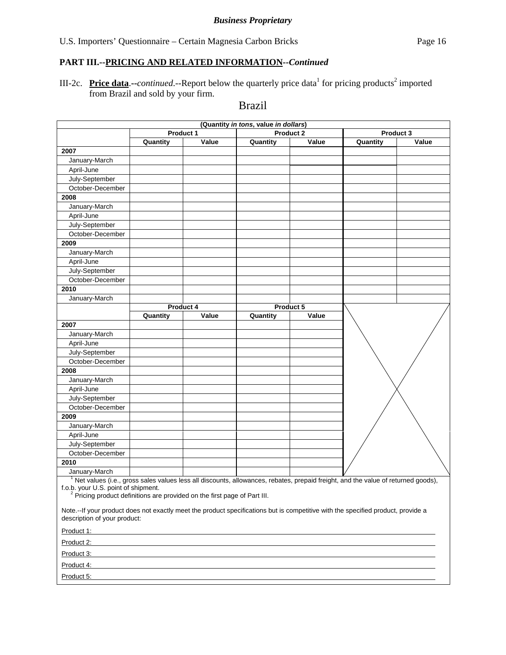## **PART III.--PRICING AND RELATED INFORMATION***--Continued*

III-2c. Price data.--*continued*.--Report below the quarterly price data<sup>1</sup> for pricing products<sup>2</sup> imported from Brazil and sold by your firm.

## Brazil

| Product 1<br><b>Product 2</b><br>Product 3<br>Value<br>Quantity<br>Quantity<br>Value<br>Quantity<br>Value<br>2007<br>January-March<br>April-June<br>July-September<br>October-December<br>2008<br>January-March<br>April-June<br>July-September<br>October-December<br>2009<br>January-March<br>April-June<br>July-September<br>October-December<br>2010<br>January-March<br>Product 4<br>Product 5<br>Value<br>Value<br>Quantity<br>Quantity<br>2007<br>January-March<br>April-June<br>July-September<br>October-December<br>2008<br>January-March<br>April-June<br>July-September<br>October-December<br>2009<br>January-March<br>April-June<br>July-September<br>October-December<br>2010<br>January-March<br><sup>1</sup> Net values (i.e., gross sales values less all discounts, allowances, rebates, prepaid freight, and the value of returned goods),<br>f.o.b. your U.S. point of shipment.<br><sup>2</sup> Pricing product definitions are provided on the first page of Part III.<br>Note.--If your product does not exactly meet the product specifications but is competitive with the specified product, provide a<br>description of your product:<br>Product 1: example and the contract of the contract of the contract of the contract of the contract of the contract of the contract of the contract of the contract of the contract of the contract of the contract of the con<br>Product 2:<br>Product 3:<br>Product 4:<br>Product 5: | (Quantity in tons, value in dollars) |  |  |  |  |  |  |  |
|-------------------------------------------------------------------------------------------------------------------------------------------------------------------------------------------------------------------------------------------------------------------------------------------------------------------------------------------------------------------------------------------------------------------------------------------------------------------------------------------------------------------------------------------------------------------------------------------------------------------------------------------------------------------------------------------------------------------------------------------------------------------------------------------------------------------------------------------------------------------------------------------------------------------------------------------------------------------------------------------------------------------------------------------------------------------------------------------------------------------------------------------------------------------------------------------------------------------------------------------------------------------------------------------------------------------------------------------------------------------------------------------------------------------------------------------------------------|--------------------------------------|--|--|--|--|--|--|--|
|                                                                                                                                                                                                                                                                                                                                                                                                                                                                                                                                                                                                                                                                                                                                                                                                                                                                                                                                                                                                                                                                                                                                                                                                                                                                                                                                                                                                                                                             |                                      |  |  |  |  |  |  |  |
|                                                                                                                                                                                                                                                                                                                                                                                                                                                                                                                                                                                                                                                                                                                                                                                                                                                                                                                                                                                                                                                                                                                                                                                                                                                                                                                                                                                                                                                             |                                      |  |  |  |  |  |  |  |
|                                                                                                                                                                                                                                                                                                                                                                                                                                                                                                                                                                                                                                                                                                                                                                                                                                                                                                                                                                                                                                                                                                                                                                                                                                                                                                                                                                                                                                                             |                                      |  |  |  |  |  |  |  |
|                                                                                                                                                                                                                                                                                                                                                                                                                                                                                                                                                                                                                                                                                                                                                                                                                                                                                                                                                                                                                                                                                                                                                                                                                                                                                                                                                                                                                                                             |                                      |  |  |  |  |  |  |  |
|                                                                                                                                                                                                                                                                                                                                                                                                                                                                                                                                                                                                                                                                                                                                                                                                                                                                                                                                                                                                                                                                                                                                                                                                                                                                                                                                                                                                                                                             |                                      |  |  |  |  |  |  |  |
|                                                                                                                                                                                                                                                                                                                                                                                                                                                                                                                                                                                                                                                                                                                                                                                                                                                                                                                                                                                                                                                                                                                                                                                                                                                                                                                                                                                                                                                             |                                      |  |  |  |  |  |  |  |
|                                                                                                                                                                                                                                                                                                                                                                                                                                                                                                                                                                                                                                                                                                                                                                                                                                                                                                                                                                                                                                                                                                                                                                                                                                                                                                                                                                                                                                                             |                                      |  |  |  |  |  |  |  |
|                                                                                                                                                                                                                                                                                                                                                                                                                                                                                                                                                                                                                                                                                                                                                                                                                                                                                                                                                                                                                                                                                                                                                                                                                                                                                                                                                                                                                                                             |                                      |  |  |  |  |  |  |  |
|                                                                                                                                                                                                                                                                                                                                                                                                                                                                                                                                                                                                                                                                                                                                                                                                                                                                                                                                                                                                                                                                                                                                                                                                                                                                                                                                                                                                                                                             |                                      |  |  |  |  |  |  |  |
|                                                                                                                                                                                                                                                                                                                                                                                                                                                                                                                                                                                                                                                                                                                                                                                                                                                                                                                                                                                                                                                                                                                                                                                                                                                                                                                                                                                                                                                             |                                      |  |  |  |  |  |  |  |
|                                                                                                                                                                                                                                                                                                                                                                                                                                                                                                                                                                                                                                                                                                                                                                                                                                                                                                                                                                                                                                                                                                                                                                                                                                                                                                                                                                                                                                                             |                                      |  |  |  |  |  |  |  |
|                                                                                                                                                                                                                                                                                                                                                                                                                                                                                                                                                                                                                                                                                                                                                                                                                                                                                                                                                                                                                                                                                                                                                                                                                                                                                                                                                                                                                                                             |                                      |  |  |  |  |  |  |  |
|                                                                                                                                                                                                                                                                                                                                                                                                                                                                                                                                                                                                                                                                                                                                                                                                                                                                                                                                                                                                                                                                                                                                                                                                                                                                                                                                                                                                                                                             |                                      |  |  |  |  |  |  |  |
|                                                                                                                                                                                                                                                                                                                                                                                                                                                                                                                                                                                                                                                                                                                                                                                                                                                                                                                                                                                                                                                                                                                                                                                                                                                                                                                                                                                                                                                             |                                      |  |  |  |  |  |  |  |
|                                                                                                                                                                                                                                                                                                                                                                                                                                                                                                                                                                                                                                                                                                                                                                                                                                                                                                                                                                                                                                                                                                                                                                                                                                                                                                                                                                                                                                                             |                                      |  |  |  |  |  |  |  |
|                                                                                                                                                                                                                                                                                                                                                                                                                                                                                                                                                                                                                                                                                                                                                                                                                                                                                                                                                                                                                                                                                                                                                                                                                                                                                                                                                                                                                                                             |                                      |  |  |  |  |  |  |  |
|                                                                                                                                                                                                                                                                                                                                                                                                                                                                                                                                                                                                                                                                                                                                                                                                                                                                                                                                                                                                                                                                                                                                                                                                                                                                                                                                                                                                                                                             |                                      |  |  |  |  |  |  |  |
|                                                                                                                                                                                                                                                                                                                                                                                                                                                                                                                                                                                                                                                                                                                                                                                                                                                                                                                                                                                                                                                                                                                                                                                                                                                                                                                                                                                                                                                             |                                      |  |  |  |  |  |  |  |
|                                                                                                                                                                                                                                                                                                                                                                                                                                                                                                                                                                                                                                                                                                                                                                                                                                                                                                                                                                                                                                                                                                                                                                                                                                                                                                                                                                                                                                                             |                                      |  |  |  |  |  |  |  |
|                                                                                                                                                                                                                                                                                                                                                                                                                                                                                                                                                                                                                                                                                                                                                                                                                                                                                                                                                                                                                                                                                                                                                                                                                                                                                                                                                                                                                                                             |                                      |  |  |  |  |  |  |  |
|                                                                                                                                                                                                                                                                                                                                                                                                                                                                                                                                                                                                                                                                                                                                                                                                                                                                                                                                                                                                                                                                                                                                                                                                                                                                                                                                                                                                                                                             |                                      |  |  |  |  |  |  |  |
|                                                                                                                                                                                                                                                                                                                                                                                                                                                                                                                                                                                                                                                                                                                                                                                                                                                                                                                                                                                                                                                                                                                                                                                                                                                                                                                                                                                                                                                             |                                      |  |  |  |  |  |  |  |
|                                                                                                                                                                                                                                                                                                                                                                                                                                                                                                                                                                                                                                                                                                                                                                                                                                                                                                                                                                                                                                                                                                                                                                                                                                                                                                                                                                                                                                                             |                                      |  |  |  |  |  |  |  |
|                                                                                                                                                                                                                                                                                                                                                                                                                                                                                                                                                                                                                                                                                                                                                                                                                                                                                                                                                                                                                                                                                                                                                                                                                                                                                                                                                                                                                                                             |                                      |  |  |  |  |  |  |  |
|                                                                                                                                                                                                                                                                                                                                                                                                                                                                                                                                                                                                                                                                                                                                                                                                                                                                                                                                                                                                                                                                                                                                                                                                                                                                                                                                                                                                                                                             |                                      |  |  |  |  |  |  |  |
|                                                                                                                                                                                                                                                                                                                                                                                                                                                                                                                                                                                                                                                                                                                                                                                                                                                                                                                                                                                                                                                                                                                                                                                                                                                                                                                                                                                                                                                             |                                      |  |  |  |  |  |  |  |
|                                                                                                                                                                                                                                                                                                                                                                                                                                                                                                                                                                                                                                                                                                                                                                                                                                                                                                                                                                                                                                                                                                                                                                                                                                                                                                                                                                                                                                                             |                                      |  |  |  |  |  |  |  |
|                                                                                                                                                                                                                                                                                                                                                                                                                                                                                                                                                                                                                                                                                                                                                                                                                                                                                                                                                                                                                                                                                                                                                                                                                                                                                                                                                                                                                                                             |                                      |  |  |  |  |  |  |  |
|                                                                                                                                                                                                                                                                                                                                                                                                                                                                                                                                                                                                                                                                                                                                                                                                                                                                                                                                                                                                                                                                                                                                                                                                                                                                                                                                                                                                                                                             |                                      |  |  |  |  |  |  |  |
|                                                                                                                                                                                                                                                                                                                                                                                                                                                                                                                                                                                                                                                                                                                                                                                                                                                                                                                                                                                                                                                                                                                                                                                                                                                                                                                                                                                                                                                             |                                      |  |  |  |  |  |  |  |
|                                                                                                                                                                                                                                                                                                                                                                                                                                                                                                                                                                                                                                                                                                                                                                                                                                                                                                                                                                                                                                                                                                                                                                                                                                                                                                                                                                                                                                                             |                                      |  |  |  |  |  |  |  |
|                                                                                                                                                                                                                                                                                                                                                                                                                                                                                                                                                                                                                                                                                                                                                                                                                                                                                                                                                                                                                                                                                                                                                                                                                                                                                                                                                                                                                                                             |                                      |  |  |  |  |  |  |  |
|                                                                                                                                                                                                                                                                                                                                                                                                                                                                                                                                                                                                                                                                                                                                                                                                                                                                                                                                                                                                                                                                                                                                                                                                                                                                                                                                                                                                                                                             |                                      |  |  |  |  |  |  |  |
|                                                                                                                                                                                                                                                                                                                                                                                                                                                                                                                                                                                                                                                                                                                                                                                                                                                                                                                                                                                                                                                                                                                                                                                                                                                                                                                                                                                                                                                             |                                      |  |  |  |  |  |  |  |
|                                                                                                                                                                                                                                                                                                                                                                                                                                                                                                                                                                                                                                                                                                                                                                                                                                                                                                                                                                                                                                                                                                                                                                                                                                                                                                                                                                                                                                                             |                                      |  |  |  |  |  |  |  |
|                                                                                                                                                                                                                                                                                                                                                                                                                                                                                                                                                                                                                                                                                                                                                                                                                                                                                                                                                                                                                                                                                                                                                                                                                                                                                                                                                                                                                                                             |                                      |  |  |  |  |  |  |  |
|                                                                                                                                                                                                                                                                                                                                                                                                                                                                                                                                                                                                                                                                                                                                                                                                                                                                                                                                                                                                                                                                                                                                                                                                                                                                                                                                                                                                                                                             |                                      |  |  |  |  |  |  |  |
|                                                                                                                                                                                                                                                                                                                                                                                                                                                                                                                                                                                                                                                                                                                                                                                                                                                                                                                                                                                                                                                                                                                                                                                                                                                                                                                                                                                                                                                             |                                      |  |  |  |  |  |  |  |
|                                                                                                                                                                                                                                                                                                                                                                                                                                                                                                                                                                                                                                                                                                                                                                                                                                                                                                                                                                                                                                                                                                                                                                                                                                                                                                                                                                                                                                                             |                                      |  |  |  |  |  |  |  |
|                                                                                                                                                                                                                                                                                                                                                                                                                                                                                                                                                                                                                                                                                                                                                                                                                                                                                                                                                                                                                                                                                                                                                                                                                                                                                                                                                                                                                                                             |                                      |  |  |  |  |  |  |  |
|                                                                                                                                                                                                                                                                                                                                                                                                                                                                                                                                                                                                                                                                                                                                                                                                                                                                                                                                                                                                                                                                                                                                                                                                                                                                                                                                                                                                                                                             |                                      |  |  |  |  |  |  |  |
|                                                                                                                                                                                                                                                                                                                                                                                                                                                                                                                                                                                                                                                                                                                                                                                                                                                                                                                                                                                                                                                                                                                                                                                                                                                                                                                                                                                                                                                             |                                      |  |  |  |  |  |  |  |
|                                                                                                                                                                                                                                                                                                                                                                                                                                                                                                                                                                                                                                                                                                                                                                                                                                                                                                                                                                                                                                                                                                                                                                                                                                                                                                                                                                                                                                                             |                                      |  |  |  |  |  |  |  |
|                                                                                                                                                                                                                                                                                                                                                                                                                                                                                                                                                                                                                                                                                                                                                                                                                                                                                                                                                                                                                                                                                                                                                                                                                                                                                                                                                                                                                                                             |                                      |  |  |  |  |  |  |  |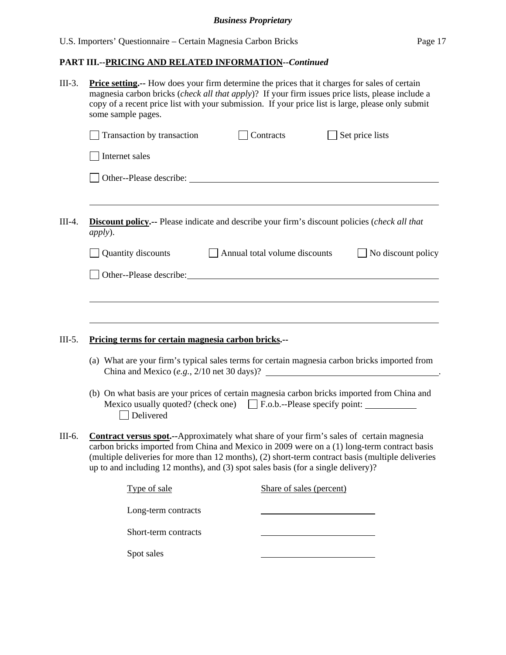## **PART III.--PRICING AND RELATED INFORMATION***--Continued*

| $III-3.$ | <b>Price setting.</b> -- How does your firm determine the prices that it charges for sales of certain<br>magnesia carbon bricks ( <i>check all that apply</i> )? If your firm issues price lists, please include a<br>copy of a recent price list with your submission. If your price list is large, please only submit<br>some sample pages.                                             |                                      |  |                    |  |  |
|----------|-------------------------------------------------------------------------------------------------------------------------------------------------------------------------------------------------------------------------------------------------------------------------------------------------------------------------------------------------------------------------------------------|--------------------------------------|--|--------------------|--|--|
|          | Transaction by transaction                                                                                                                                                                                                                                                                                                                                                                | Contracts                            |  | Set price lists    |  |  |
|          | Internet sales                                                                                                                                                                                                                                                                                                                                                                            |                                      |  |                    |  |  |
|          |                                                                                                                                                                                                                                                                                                                                                                                           |                                      |  |                    |  |  |
|          |                                                                                                                                                                                                                                                                                                                                                                                           |                                      |  |                    |  |  |
| $III-4.$ | <b>Discount policy.--</b> Please indicate and describe your firm's discount policies (check all that<br><i>apply</i> ).                                                                                                                                                                                                                                                                   |                                      |  |                    |  |  |
|          | Quantity discounts                                                                                                                                                                                                                                                                                                                                                                        | $\Box$ Annual total volume discounts |  | No discount policy |  |  |
|          | Other--Please describe: Manual Contract Contract Contract Contract Contract Contract Contract Contract Contract Contract Contract Contract Contract Contract Contract Contract Contract Contract Contract Contract Contract Co                                                                                                                                                            |                                      |  |                    |  |  |
|          |                                                                                                                                                                                                                                                                                                                                                                                           |                                      |  |                    |  |  |
|          |                                                                                                                                                                                                                                                                                                                                                                                           |                                      |  |                    |  |  |
| $III-5.$ | Pricing terms for certain magnesia carbon bricks.--                                                                                                                                                                                                                                                                                                                                       |                                      |  |                    |  |  |
|          | (a) What are your firm's typical sales terms for certain magnesia carbon bricks imported from<br>China and Mexico $(e.g., 2/10$ net $30 \text{ days})$ ?                                                                                                                                                                                                                                  |                                      |  |                    |  |  |
|          | (b) On what basis are your prices of certain magnesia carbon bricks imported from China and<br>Mexico usually quoted? (check one) $\Box$ F.o.b.--Please specify point:<br>Delivered                                                                                                                                                                                                       |                                      |  |                    |  |  |
| III-6.   | <b>Contract versus spot.</b> --Approximately what share of your firm's sales of certain magnesia<br>carbon bricks imported from China and Mexico in 2009 were on a (1) long-term contract basis<br>(multiple deliveries for more than 12 months), (2) short-term contract basis (multiple deliveries<br>up to and including 12 months), and (3) spot sales basis (for a single delivery)? |                                      |  |                    |  |  |
|          | Type of sale                                                                                                                                                                                                                                                                                                                                                                              | Share of sales (percent)             |  |                    |  |  |
|          | Long-term contracts                                                                                                                                                                                                                                                                                                                                                                       |                                      |  |                    |  |  |
|          | Short-term contracts                                                                                                                                                                                                                                                                                                                                                                      |                                      |  |                    |  |  |
|          | Spot sales                                                                                                                                                                                                                                                                                                                                                                                |                                      |  |                    |  |  |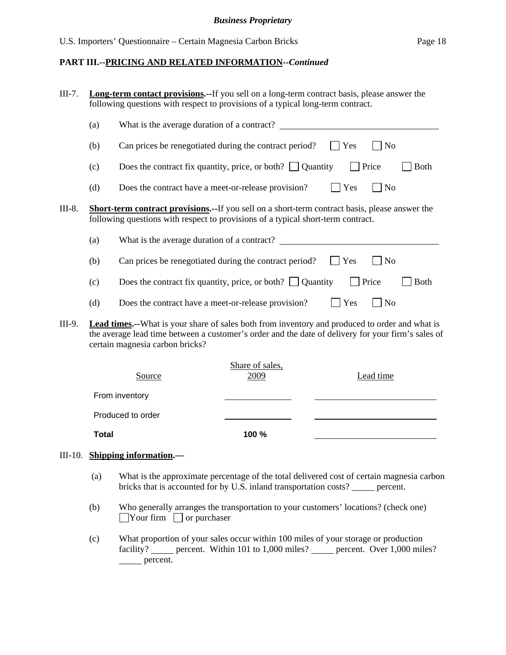#### **PART III.--PRICING AND RELATED INFORMATION***--Continued*

| $III-7.$ |              | <b>Long-term contact provisions.</b> --If you sell on a long-term contract basis, please answer the<br>following questions with respect to provisions of a typical long-term contract.                                                  |                         |         |                |             |  |
|----------|--------------|-----------------------------------------------------------------------------------------------------------------------------------------------------------------------------------------------------------------------------------------|-------------------------|---------|----------------|-------------|--|
|          | (a)          | What is the average duration of a contract?                                                                                                                                                                                             |                         |         |                |             |  |
|          | (b)          | Can prices be renegotiated during the contract period?                                                                                                                                                                                  |                         | $ $ Yes | N <sub>o</sub> |             |  |
|          | (c)          | Does the contract fix quantity, price, or both? $\Box$ Quantity                                                                                                                                                                         |                         |         | $\Box$ Price   | <b>Both</b> |  |
|          | (d)          | Does the contract have a meet-or-release provision?                                                                                                                                                                                     |                         | Yes     | N <sub>o</sub> |             |  |
| III-8.   |              | <b>Short-term contract provisions.--</b> If you sell on a short-term contract basis, please answer the<br>following questions with respect to provisions of a typical short-term contract.                                              |                         |         |                |             |  |
|          | (a)          | What is the average duration of a contract?                                                                                                                                                                                             |                         |         |                |             |  |
|          | (b)          | Can prices be renegotiated during the contract period?                                                                                                                                                                                  |                         | Yes     | N <sub>o</sub> |             |  |
|          | (c)          | Does the contract fix quantity, price, or both? $\Box$ Quantity                                                                                                                                                                         |                         |         | Price          | <b>Both</b> |  |
|          | (d)          | Does the contract have a meet-or-release provision?                                                                                                                                                                                     |                         | Yes     | N <sub>o</sub> |             |  |
| III-9.   |              | Lead times.--What is your share of sales both from inventory and produced to order and what is<br>the average lead time between a customer's order and the date of delivery for your firm's sales of<br>certain magnesia carbon bricks? |                         |         |                |             |  |
|          |              | Source                                                                                                                                                                                                                                  | Share of sales,<br>2009 |         | Lead time      |             |  |
|          |              | From inventory                                                                                                                                                                                                                          |                         |         |                |             |  |
|          |              | Produced to order                                                                                                                                                                                                                       |                         |         |                |             |  |
|          | <b>Total</b> |                                                                                                                                                                                                                                         | 100 %                   |         |                |             |  |

## III-10. **Shipping information.—**

- (a) What is the approximate percentage of the total delivered cost of certain magnesia carbon bricks that is accounted for by U.S. inland transportation costs? \_\_\_\_\_ percent.
- (b) Who generally arranges the transportation to your customers' locations? (check one)  $\Box$ Your firm  $\Box$  or purchaser
- (c) What proportion of your sales occur within 100 miles of your storage or production facility? percent. Within 101 to 1,000 miles? percent. Over 1,000 miles? percent.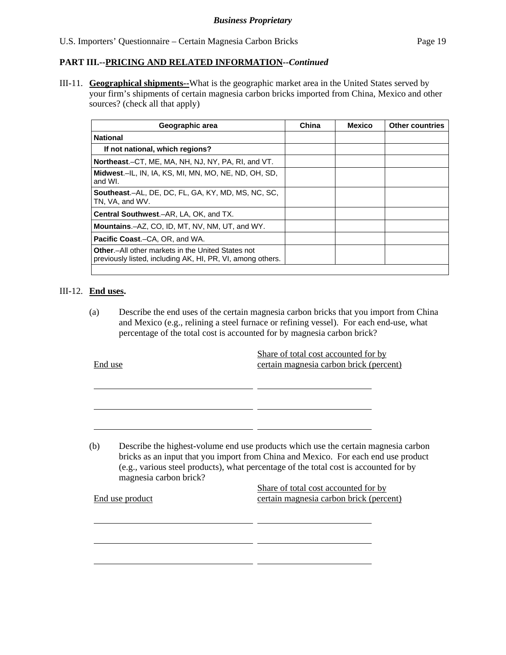## **PART III.--PRICING AND RELATED INFORMATION***--Continued*

III-11. **Geographical shipments--**What is the geographic market area in the United States served by your firm's shipments of certain magnesia carbon bricks imported from China, Mexico and other sources? (check all that apply)

| Geographic area                                                                                                         | China | <b>Mexico</b> | <b>Other countries</b> |
|-------------------------------------------------------------------------------------------------------------------------|-------|---------------|------------------------|
| <b>National</b>                                                                                                         |       |               |                        |
| If not national, which regions?                                                                                         |       |               |                        |
| <b>Northeast.</b> –CT, ME, MA, NH, NJ, NY, PA, RI, and VT.                                                              |       |               |                        |
| Midwest.—IL, IN, IA, KS, MI, MN, MO, NE, ND, OH, SD,<br>and WI.                                                         |       |               |                        |
| <b>Southeast.-AL, DE, DC, FL, GA, KY, MD, MS, NC, SC,</b><br>TN, VA, and WV.                                            |       |               |                        |
| Central Southwest.-AR, LA, OK, and TX.                                                                                  |       |               |                        |
| <b>Mountains.-AZ, CO, ID, MT, NV, NM, UT, and WY.</b>                                                                   |       |               |                        |
| <b>Pacific Coast.–CA, OR, and WA.</b>                                                                                   |       |               |                        |
| <b>Other</b> - All other markets in the United States not<br>previously listed, including AK, HI, PR, VI, among others. |       |               |                        |
|                                                                                                                         |       |               |                        |

#### III-12. **End uses.**

l

l

(a) Describe the end uses of the certain magnesia carbon bricks that you import from China and Mexico (e.g., relining a steel furnace or refining vessel). For each end-use, what percentage of the total cost is accounted for by magnesia carbon brick?

| End use         |                        | Share of total cost accounted for by<br>certain magnesia carbon brick (percent)                                                                                                                                                                                   |  |  |
|-----------------|------------------------|-------------------------------------------------------------------------------------------------------------------------------------------------------------------------------------------------------------------------------------------------------------------|--|--|
|                 |                        |                                                                                                                                                                                                                                                                   |  |  |
| (b)             | magnesia carbon brick? | Describe the highest-volume end use products which use the certain magnesia carbon<br>bricks as an input that you import from China and Mexico. For each end use product<br>(e.g., various steel products), what percentage of the total cost is accounted for by |  |  |
| End use product |                        | Share of total cost accounted for by<br>certain magnesia carbon brick (percent)                                                                                                                                                                                   |  |  |
|                 |                        |                                                                                                                                                                                                                                                                   |  |  |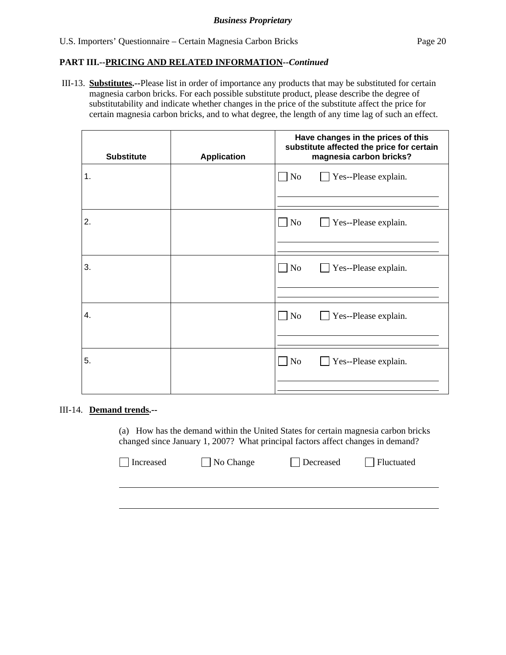### **PART III.--PRICING AND RELATED INFORMATION***--Continued*

 III-13. **Substitutes.--**Please list in order of importance any products that may be substituted for certain magnesia carbon bricks. For each possible substitute product, please describe the degree of substitutability and indicate whether changes in the price of the substitute affect the price for certain magnesia carbon bricks, and to what degree, the length of any time lag of such an effect.

| <b>Substitute</b> | <b>Application</b> | Have changes in the prices of this<br>substitute affected the price for certain<br>magnesia carbon bricks? |  |  |
|-------------------|--------------------|------------------------------------------------------------------------------------------------------------|--|--|
| 1.                |                    | No<br>Yes--Please explain.<br>$\sim$                                                                       |  |  |
| 2.                |                    | No<br>Yes--Please explain.<br>$\mathsf{I}$<br>$\blacksquare$                                               |  |  |
| 3.                |                    | $\Box$ No<br>Yes--Please explain.                                                                          |  |  |
| 4.                |                    | N <sub>o</sub><br>Yes--Please explain.<br>$\sim$                                                           |  |  |
| 5.                |                    | No<br>Yes--Please explain.                                                                                 |  |  |

#### III-14. **Demand trends.--**

(a) How has the demand within the United States for certain magnesia carbon bricks changed since January 1, 2007? What principal factors affect changes in demand?

| Increased | $\Box$ No Change | $\Box$ Decreased | $\Box$ Fluctuated |
|-----------|------------------|------------------|-------------------|
|           |                  |                  |                   |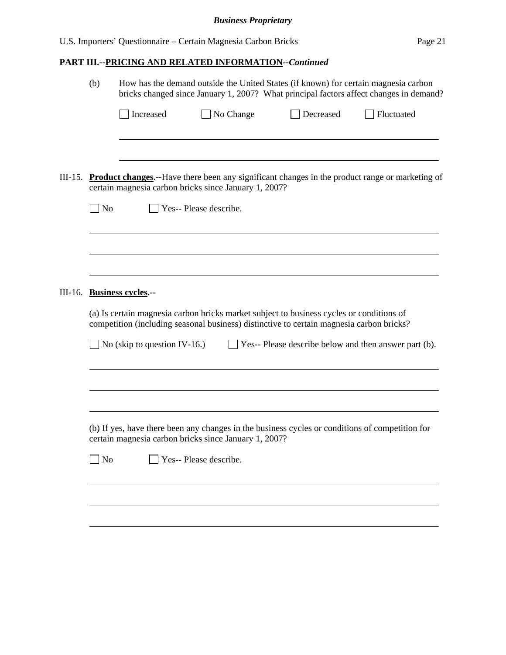## **PART III.--PRICING AND RELATED INFORMATION***--Continued*

|         | (b)            | How has the demand outside the United States (if known) for certain magnesia carbon<br>bricks changed since January 1, 2007? What principal factors affect changes in demand?                                                                     |                        |  |           |                                                                                                        |
|---------|----------------|---------------------------------------------------------------------------------------------------------------------------------------------------------------------------------------------------------------------------------------------------|------------------------|--|-----------|--------------------------------------------------------------------------------------------------------|
|         |                | Increased                                                                                                                                                                                                                                         | $\Box$ No Change       |  | Decreased | Fluctuated                                                                                             |
| III-15. | No             | certain magnesia carbon bricks since January 1, 2007?                                                                                                                                                                                             | Yes-- Please describe. |  |           | <b>Product changes.</b> --Have there been any significant changes in the product range or marketing of |
|         |                |                                                                                                                                                                                                                                                   |                        |  |           |                                                                                                        |
| III-16. |                | <b>Business cycles.--</b><br>(a) Is certain magnesia carbon bricks market subject to business cycles or conditions of<br>competition (including seasonal business) distinctive to certain magnesia carbon bricks?<br>No (skip to question IV-16.) |                        |  |           | $\Box$ Yes-- Please describe below and then answer part (b).                                           |
|         |                |                                                                                                                                                                                                                                                   |                        |  |           |                                                                                                        |
|         | N <sub>0</sub> | certain magnesia carbon bricks since January 1, 2007?                                                                                                                                                                                             | Yes-- Please describe. |  |           | (b) If yes, have there been any changes in the business cycles or conditions of competition for        |
|         |                |                                                                                                                                                                                                                                                   |                        |  |           |                                                                                                        |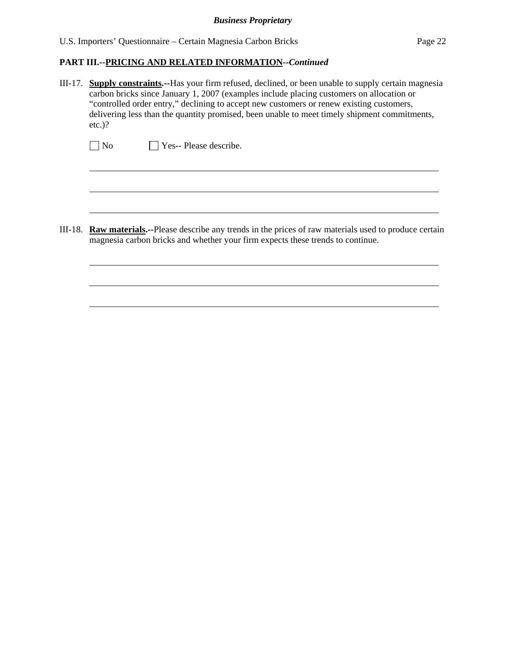U.S. Importers' Questionnaire – Certain Magnesia Carbon Bricks Page 22

#### **PART III.--PRICING AND RELATED INFORMATION***--Continued*

III-17. **Supply constraints.--**Has your firm refused, declined, or been unable to supply certain magnesia carbon bricks since January 1, 2007 (examples include placing customers on allocation or "controlled order entry," declining to accept new customers or renew existing customers, delivering less than the quantity promised, been unable to meet timely shipment commitments, etc.)?

No **Yes-- Please describe.** 

 $\overline{a}$ 

 $\overline{a}$ 

III-18. **Raw materials.--**Please describe any trends in the prices of raw materials used to produce certain magnesia carbon bricks and whether your firm expects these trends to continue.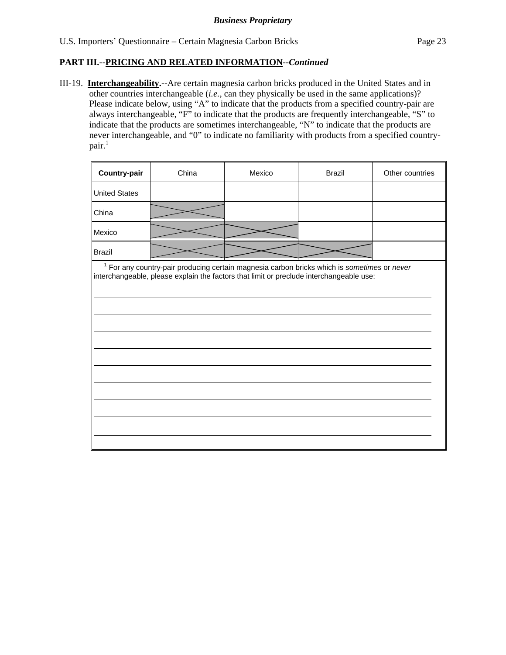## **PART III.--PRICING AND RELATED INFORMATION***--Continued*

III-19. **Interchangeability.--**Are certain magnesia carbon bricks produced in the United States and in other countries interchangeable (*i.e.*, can they physically be used in the same applications)? Please indicate below, using "A" to indicate that the products from a specified country-pair are always interchangeable, "F" to indicate that the products are frequently interchangeable, "S" to indicate that the products are sometimes interchangeable, "N" to indicate that the products are never interchangeable, and "0" to indicate no familiarity with products from a specified country $pair.<sup>1</sup>$ 

| Country-pair                                                                                                                                                                             | China | Mexico | <b>Brazil</b> | Other countries |  |  |  |
|------------------------------------------------------------------------------------------------------------------------------------------------------------------------------------------|-------|--------|---------------|-----------------|--|--|--|
| <b>United States</b>                                                                                                                                                                     |       |        |               |                 |  |  |  |
| China                                                                                                                                                                                    |       |        |               |                 |  |  |  |
| Mexico                                                                                                                                                                                   |       |        |               |                 |  |  |  |
| <b>Brazil</b>                                                                                                                                                                            |       |        |               |                 |  |  |  |
| $1$ For any country-pair producing certain magnesia carbon bricks which is sometimes or never<br>interchangeable, please explain the factors that limit or preclude interchangeable use: |       |        |               |                 |  |  |  |
|                                                                                                                                                                                          |       |        |               |                 |  |  |  |
|                                                                                                                                                                                          |       |        |               |                 |  |  |  |
|                                                                                                                                                                                          |       |        |               |                 |  |  |  |
|                                                                                                                                                                                          |       |        |               |                 |  |  |  |
|                                                                                                                                                                                          |       |        |               |                 |  |  |  |
|                                                                                                                                                                                          |       |        |               |                 |  |  |  |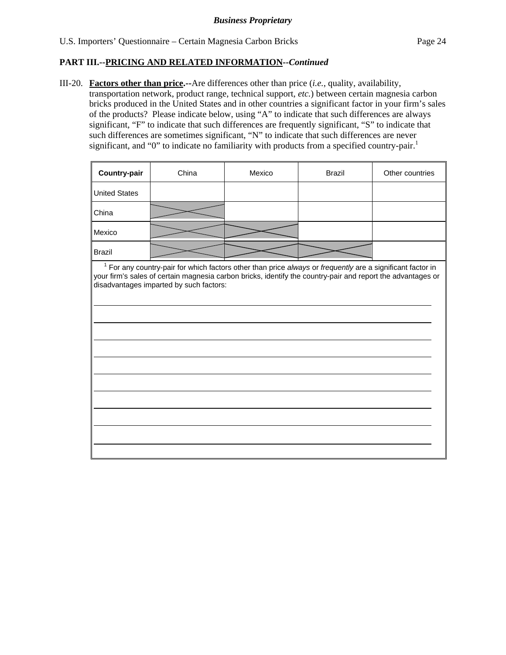$\overline{a}$ 

### **PART III.--PRICING AND RELATED INFORMATION***--Continued*

III-20. **Factors other than price.--**Are differences other than price (*i.e.*, quality, availability, transportation network, product range, technical support, *etc.*) between certain magnesia carbon bricks produced in the United States and in other countries a significant factor in your firm's sales of the products? Please indicate below, using "A" to indicate that such differences are always significant, "F" to indicate that such differences are frequently significant, "S" to indicate that such differences are sometimes significant, "N" to indicate that such differences are never significant, and "0" to indicate no familiarity with products from a specified country-pair.<sup>1</sup>

| <b>Country-pair</b>                                                                                      | China | Mexico | <b>Brazil</b> | Other countries |
|----------------------------------------------------------------------------------------------------------|-------|--------|---------------|-----------------|
| <b>United States</b>                                                                                     |       |        |               |                 |
| China                                                                                                    |       |        |               |                 |
| Mexico                                                                                                   |       |        |               |                 |
| <b>Brazil</b>                                                                                            |       |        |               |                 |
| For any country-pair for which factors other than price always or frequently are a significant factor in |       |        |               |                 |

your firm's sales of certain magnesia carbon bricks, identify the country-pair and report the advantages or disadvantages imparted by such factors: